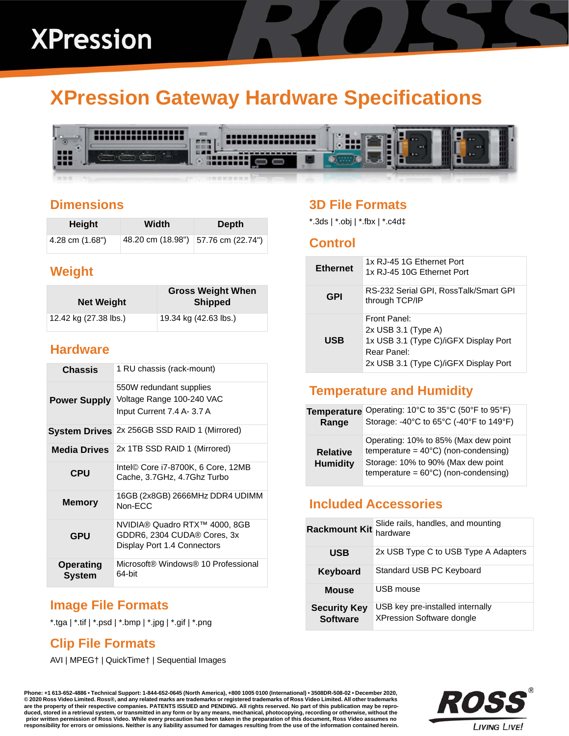# **XPression Gateway Hardware Specifications**



### **Dimensions**

| Height          | Width | <b>Depth</b>                          |
|-----------------|-------|---------------------------------------|
| 4.28 cm (1.68") |       | 48.20 cm (18.98")   57.76 cm (22.74") |

# **Weight**

| <b>Net Weight</b>     | <b>Gross Weight When</b><br><b>Shipped</b> |
|-----------------------|--------------------------------------------|
| 12.42 kg (27.38 lbs.) | 19.34 kg (42.63 lbs.)                      |

#### **Hardware**

| <b>Chassis</b>             | 1 RU chassis (rack-mount)                                                                   |  |
|----------------------------|---------------------------------------------------------------------------------------------|--|
| <b>Power Supply</b>        | 550W redundant supplies<br>Voltage Range 100-240 VAC<br>Input Current 7.4 A- 3.7 A          |  |
| <b>System Drives</b>       | 2x 256GB SSD RAID 1 (Mirrored)                                                              |  |
| <b>Media Drives</b>        | 2x 1TB SSD RAID 1 (Mirrored)                                                                |  |
| <b>CPU</b>                 | Intel© Core i7-8700K, 6 Core, 12MB<br>Cache, 3.7GHz, 4.7Ghz Turbo                           |  |
| <b>Memory</b>              | 16GB (2x8GB) 2666MHz DDR4 UDIMM<br>Non-FCC                                                  |  |
| <b>GPU</b>                 | NVIDIA® Quadro RTX™ 4000, 8GB<br>GDDR6, 2304 CUDA® Cores, 3x<br>Display Port 1.4 Connectors |  |
| <b>Operating</b><br>System | Microsoft® Windows® 10 Professional<br>64-bit                                               |  |

# **Image File Formats**

\*.tga | \*.tif | \*.psd | \*.bmp | \*.jpg | \*.gif | \*.png

# **Clip File Formats**

AVI | MPEG† | QuickTime† | Sequential Images

# **3D File Formats**

\*.3ds | \*.obj | \*.fbx | \*.c4d‡

#### **Control**

| <b>Ethernet</b> | 1x RJ-45 1G Ethernet Port<br>1x RJ-45 10G Ethernet Port                                                                                |
|-----------------|----------------------------------------------------------------------------------------------------------------------------------------|
| GPI             | RS-232 Serial GPI, RossTalk/Smart GPI<br>through TCP/IP                                                                                |
| <b>USB</b>      | Front Panel:<br>$2x$ USB 3.1 (Type A)<br>1x USB 3.1 (Type C)/iGFX Display Port<br>Rear Panel:<br>2x USB 3.1 (Type C)/iGFX Display Port |

# **Temperature and Humidity**

| <b>Temperature</b>                 | Operating: 10°C to 35°C (50°F to 95°F)                                                                                                                                         |
|------------------------------------|--------------------------------------------------------------------------------------------------------------------------------------------------------------------------------|
| Range                              | Storage: -40°C to 65°C (-40°F to 149°F)                                                                                                                                        |
| <b>Relative</b><br><b>Humidity</b> | Operating: 10% to 85% (Max dew point<br>temperature = $40^{\circ}$ C) (non-condensing)<br>Storage: 10% to 90% (Max dew point<br>temperature = $60^{\circ}$ C) (non-condensing) |

# **Included Accessories**

| <b>Rackmount Kit</b>                   | Slide rails, handles, and mounting<br>hardware                       |
|----------------------------------------|----------------------------------------------------------------------|
| <b>USB</b>                             | 2x USB Type C to USB Type A Adapters                                 |
| Keyboard                               | Standard USB PC Keyboard                                             |
| <b>Mouse</b>                           | USB mouse                                                            |
| <b>Security Key</b><br><b>Software</b> | USB key pre-installed internally<br><b>XPression Software dongle</b> |

**Phone: +1 613-652-4886 • Technical Support: 1-844-652-0645 (North America), +800 1005 0100 (International) • 3508DR-508-02 • December 2020, © 2020 Ross Video Limited. Ross®, and any related marks are trademarks or registered trademarks of Ross Video Limited. All other trademarks are the property of their respective companies. PATENTS ISSUED and PENDING. All rights reserved. No part of this publication may be repro**duced, stored in a retrieval system, or transmitted in any form or by any means, mechanical, photocopying, recording or otherwise, without the<br>prior written permission of Ross Video. While every precaution has been taken i